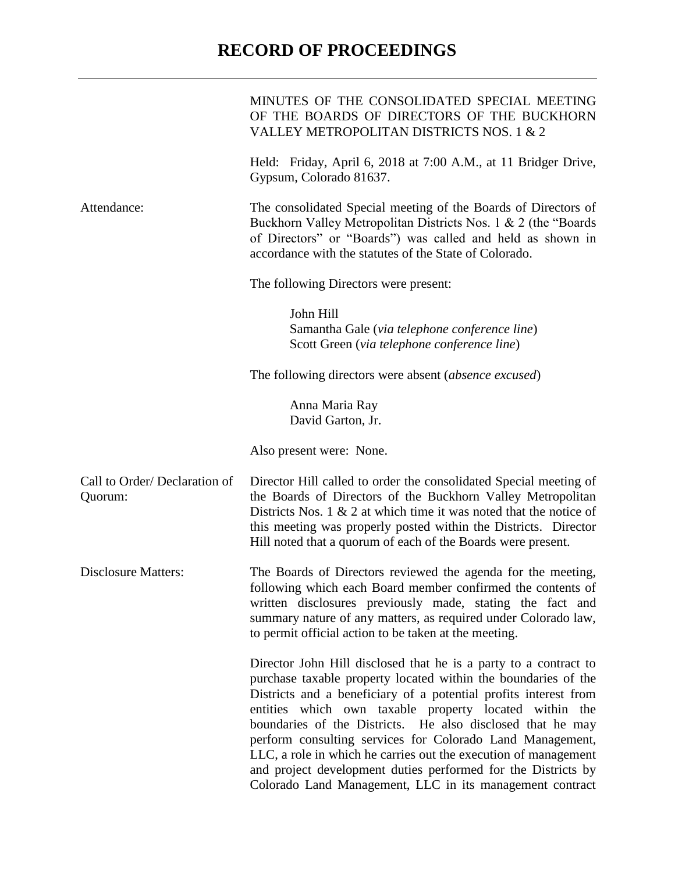## **RECORD OF PROCEEDINGS**

|                                         | MINUTES OF THE CONSOLIDATED SPECIAL MEETING<br>OF THE BOARDS OF DIRECTORS OF THE BUCKHORN<br>VALLEY METROPOLITAN DISTRICTS NOS. 1 & 2                                                                                                                                                                                                                                                                                                                                                                                                                                                       |
|-----------------------------------------|---------------------------------------------------------------------------------------------------------------------------------------------------------------------------------------------------------------------------------------------------------------------------------------------------------------------------------------------------------------------------------------------------------------------------------------------------------------------------------------------------------------------------------------------------------------------------------------------|
|                                         | Held: Friday, April 6, 2018 at 7:00 A.M., at 11 Bridger Drive,<br>Gypsum, Colorado 81637.                                                                                                                                                                                                                                                                                                                                                                                                                                                                                                   |
| Attendance:                             | The consolidated Special meeting of the Boards of Directors of<br>Buckhorn Valley Metropolitan Districts Nos. 1 & 2 (the "Boards"<br>of Directors" or "Boards") was called and held as shown in<br>accordance with the statutes of the State of Colorado.                                                                                                                                                                                                                                                                                                                                   |
|                                         | The following Directors were present:                                                                                                                                                                                                                                                                                                                                                                                                                                                                                                                                                       |
|                                         | John Hill<br>Samantha Gale (via telephone conference line)<br>Scott Green (via telephone conference line)                                                                                                                                                                                                                                                                                                                                                                                                                                                                                   |
|                                         | The following directors were absent <i>(absence excused)</i>                                                                                                                                                                                                                                                                                                                                                                                                                                                                                                                                |
|                                         | Anna Maria Ray<br>David Garton, Jr.                                                                                                                                                                                                                                                                                                                                                                                                                                                                                                                                                         |
|                                         | Also present were: None.                                                                                                                                                                                                                                                                                                                                                                                                                                                                                                                                                                    |
| Call to Order/Declaration of<br>Quorum: | Director Hill called to order the consolidated Special meeting of<br>the Boards of Directors of the Buckhorn Valley Metropolitan<br>Districts Nos. 1 $\&$ 2 at which time it was noted that the notice of<br>this meeting was properly posted within the Districts. Director<br>Hill noted that a quorum of each of the Boards were present.                                                                                                                                                                                                                                                |
| <b>Disclosure Matters:</b>              | The Boards of Directors reviewed the agenda for the meeting,<br>following which each Board member confirmed the contents of<br>written disclosures previously made, stating the fact and<br>summary nature of any matters, as required under Colorado law,<br>to permit official action to be taken at the meeting.                                                                                                                                                                                                                                                                         |
|                                         | Director John Hill disclosed that he is a party to a contract to<br>purchase taxable property located within the boundaries of the<br>Districts and a beneficiary of a potential profits interest from<br>entities which own taxable property located within the<br>boundaries of the Districts. He also disclosed that he may<br>perform consulting services for Colorado Land Management,<br>LLC, a role in which he carries out the execution of management<br>and project development duties performed for the Districts by<br>Colorado Land Management, LLC in its management contract |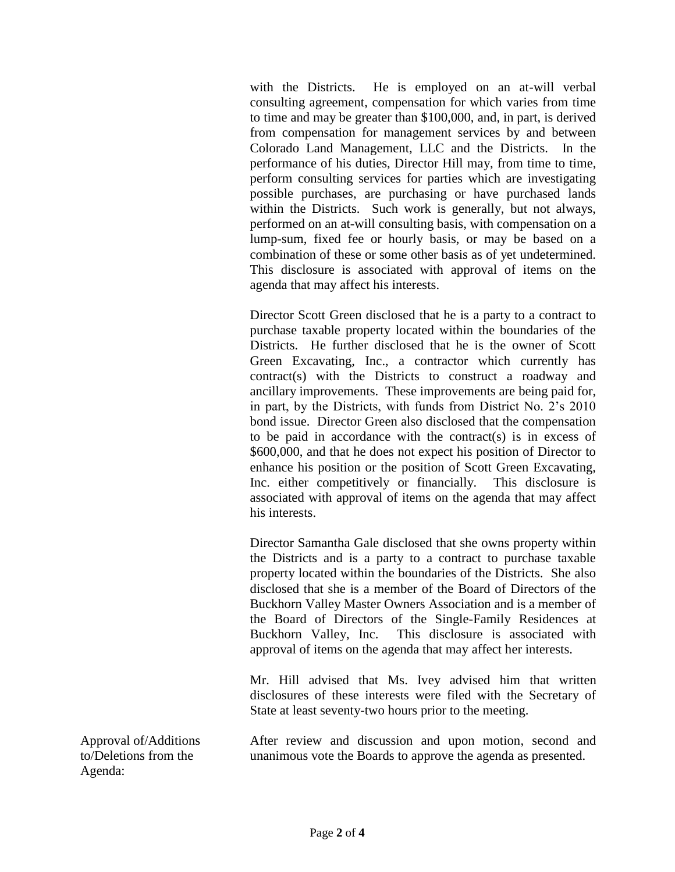with the Districts. He is employed on an at-will verbal consulting agreement, compensation for which varies from time to time and may be greater than \$100,000, and, in part, is derived from compensation for management services by and between Colorado Land Management, LLC and the Districts. In the performance of his duties, Director Hill may, from time to time, perform consulting services for parties which are investigating possible purchases, are purchasing or have purchased lands within the Districts. Such work is generally, but not always, performed on an at-will consulting basis, with compensation on a lump-sum, fixed fee or hourly basis, or may be based on a combination of these or some other basis as of yet undetermined. This disclosure is associated with approval of items on the agenda that may affect his interests.

Director Scott Green disclosed that he is a party to a contract to purchase taxable property located within the boundaries of the Districts. He further disclosed that he is the owner of Scott Green Excavating, Inc., a contractor which currently has contract(s) with the Districts to construct a roadway and ancillary improvements. These improvements are being paid for, in part, by the Districts, with funds from District No. 2's 2010 bond issue. Director Green also disclosed that the compensation to be paid in accordance with the contract(s) is in excess of \$600,000, and that he does not expect his position of Director to enhance his position or the position of Scott Green Excavating, Inc. either competitively or financially. This disclosure is associated with approval of items on the agenda that may affect his interests.

Director Samantha Gale disclosed that she owns property within the Districts and is a party to a contract to purchase taxable property located within the boundaries of the Districts. She also disclosed that she is a member of the Board of Directors of the Buckhorn Valley Master Owners Association and is a member of the Board of Directors of the Single-Family Residences at Buckhorn Valley, Inc. This disclosure is associated with approval of items on the agenda that may affect her interests.

Mr. Hill advised that Ms. Ivey advised him that written disclosures of these interests were filed with the Secretary of State at least seventy-two hours prior to the meeting.

Approval of/Additions to/Deletions from the Agenda:

After review and discussion and upon motion, second and unanimous vote the Boards to approve the agenda as presented.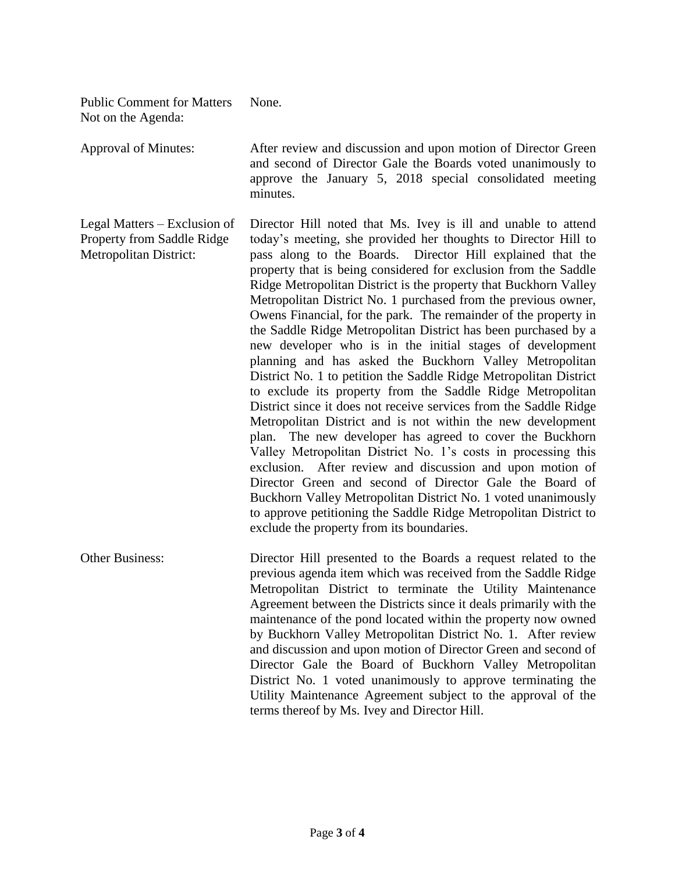| <b>Public Comment for Matters</b><br>Not on the Agenda:                                     | None.                                                                                                                                                                                                                                                                                                                                                                                                                                                                                                                                                                                                                                                                                                                                                                                                                                                                                                                                                                                                                                                                                                                                                                                                                                                                                                                                                                             |
|---------------------------------------------------------------------------------------------|-----------------------------------------------------------------------------------------------------------------------------------------------------------------------------------------------------------------------------------------------------------------------------------------------------------------------------------------------------------------------------------------------------------------------------------------------------------------------------------------------------------------------------------------------------------------------------------------------------------------------------------------------------------------------------------------------------------------------------------------------------------------------------------------------------------------------------------------------------------------------------------------------------------------------------------------------------------------------------------------------------------------------------------------------------------------------------------------------------------------------------------------------------------------------------------------------------------------------------------------------------------------------------------------------------------------------------------------------------------------------------------|
| <b>Approval of Minutes:</b>                                                                 | After review and discussion and upon motion of Director Green<br>and second of Director Gale the Boards voted unanimously to<br>approve the January 5, 2018 special consolidated meeting<br>minutes.                                                                                                                                                                                                                                                                                                                                                                                                                                                                                                                                                                                                                                                                                                                                                                                                                                                                                                                                                                                                                                                                                                                                                                              |
| Legal Matters – Exclusion of<br>Property from Saddle Ridge<br><b>Metropolitan District:</b> | Director Hill noted that Ms. Ivey is ill and unable to attend<br>today's meeting, she provided her thoughts to Director Hill to<br>pass along to the Boards. Director Hill explained that the<br>property that is being considered for exclusion from the Saddle<br>Ridge Metropolitan District is the property that Buckhorn Valley<br>Metropolitan District No. 1 purchased from the previous owner,<br>Owens Financial, for the park. The remainder of the property in<br>the Saddle Ridge Metropolitan District has been purchased by a<br>new developer who is in the initial stages of development<br>planning and has asked the Buckhorn Valley Metropolitan<br>District No. 1 to petition the Saddle Ridge Metropolitan District<br>to exclude its property from the Saddle Ridge Metropolitan<br>District since it does not receive services from the Saddle Ridge<br>Metropolitan District and is not within the new development<br>plan. The new developer has agreed to cover the Buckhorn<br>Valley Metropolitan District No. 1's costs in processing this<br>exclusion. After review and discussion and upon motion of<br>Director Green and second of Director Gale the Board of<br>Buckhorn Valley Metropolitan District No. 1 voted unanimously<br>to approve petitioning the Saddle Ridge Metropolitan District to<br>exclude the property from its boundaries. |
| <b>Other Business:</b>                                                                      | Director Hill presented to the Boards a request related to the<br>previous agenda item which was received from the Saddle Ridge<br>Metropolitan District to terminate the Utility Maintenance<br>Agreement between the Districts since it deals primarily with the<br>maintenance of the pond located within the property now owned<br>by Buckhorn Valley Metropolitan District No. 1. After review<br>and discussion and upon motion of Director Green and second of<br>Director Gale the Board of Buckhorn Valley Metropolitan<br>District No. 1 voted unanimously to approve terminating the<br>Utility Maintenance Agreement subject to the approval of the<br>terms thereof by Ms. Ivey and Director Hill.                                                                                                                                                                                                                                                                                                                                                                                                                                                                                                                                                                                                                                                                   |